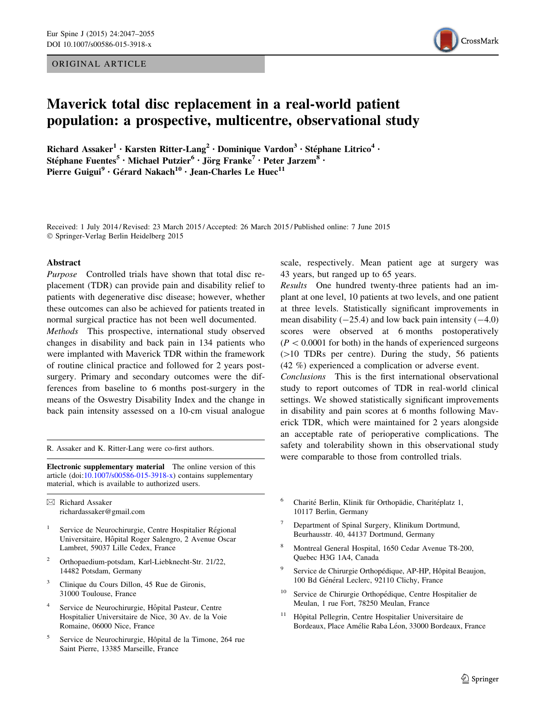ORIGINAL ARTICLE



# Maverick total disc replacement in a real-world patient population: a prospective, multicentre, observational study

Richard Assaker<sup>1</sup> • Karsten Ritter-Lang<sup>2</sup> • Dominique Vardon<sup>3</sup> • Stéphane Litrico<sup>4</sup> • Stéphane Fuentes<sup>5</sup> • Michael Putzier<sup>6</sup> • Jörg Franke<sup>7</sup> • Peter Jarzem<sup>8</sup> • Pierre Guigui<sup>9</sup> · Gérard Nakach<sup>10</sup> · Jean-Charles Le Huec<sup>11</sup>

Received: 1 July 2014 / Revised: 23 March 2015 / Accepted: 26 March 2015 / Published online: 7 June 2015 - Springer-Verlag Berlin Heidelberg 2015

#### Abstract

Purpose Controlled trials have shown that total disc replacement (TDR) can provide pain and disability relief to patients with degenerative disc disease; however, whether these outcomes can also be achieved for patients treated in normal surgical practice has not been well documented.

Methods This prospective, international study observed changes in disability and back pain in 134 patients who were implanted with Maverick TDR within the framework of routine clinical practice and followed for 2 years postsurgery. Primary and secondary outcomes were the differences from baseline to 6 months post-surgery in the means of the Oswestry Disability Index and the change in back pain intensity assessed on a 10-cm visual analogue

R. Assaker and K. Ritter-Lang were co-first authors.

Electronic supplementary material The online version of this article (doi:[10.1007/s00586-015-3918-x\)](http://dx.doi.org/10.1007/s00586-015-3918-x) contains supplementary material, which is available to authorized users.

 $\boxtimes$  Richard Assaker richardassaker@gmail.com

- Service de Neurochirurgie, Centre Hospitalier Régional Universitaire, Hôpital Roger Salengro, 2 Avenue Oscar Lambret, 59037 Lille Cedex, France
- <sup>2</sup> Orthopaedium-potsdam, Karl-Liebknecht-Str. 21/22, 14482 Potsdam, Germany
- <sup>3</sup> Clinique du Cours Dillon, 45 Rue de Gironis, 31000 Toulouse, France
- Service de Neurochirurgie, Hôpital Pasteur, Centre Hospitalier Universitaire de Nice, 30 Av. de la Voie Romaine, 06000 Nice, France
- <sup>5</sup> Service de Neurochirurgie, Hôpital de la Timone, 264 rue Saint Pierre, 13385 Marseille, France

scale, respectively. Mean patient age at surgery was 43 years, but ranged up to 65 years.

Results One hundred twenty-three patients had an implant at one level, 10 patients at two levels, and one patient at three levels. Statistically significant improvements in mean disability  $(-25.4)$  and low back pain intensity  $(-4.0)$ scores were observed at 6 months postoperatively  $(P<0.0001$  for both) in the hands of experienced surgeons  $(>10$  TDRs per centre). During the study, 56 patients (42 %) experienced a complication or adverse event.

Conclusions This is the first international observational study to report outcomes of TDR in real-world clinical settings. We showed statistically significant improvements in disability and pain scores at 6 months following Maverick TDR, which were maintained for 2 years alongside an acceptable rate of perioperative complications. The safety and tolerability shown in this observational study were comparable to those from controlled trials.

- <sup>6</sup> Charité Berlin, Klinik für Orthopädie, Charitéplatz 1, 10117 Berlin, Germany
- <sup>7</sup> Department of Spinal Surgery, Klinikum Dortmund, Beurhausstr. 40, 44137 Dortmund, Germany
- <sup>8</sup> Montreal General Hospital, 1650 Cedar Avenue T8-200, Quebec H3G 1A4, Canada
- Service de Chirurgie Orthopédique, AP-HP, Hôpital Beaujon, 100 Bd Général Leclerc, 92110 Clichy, France
- <sup>10</sup> Service de Chirurgie Orthopédique, Centre Hospitalier de Meulan, 1 rue Fort, 78250 Meulan, France
- Hôpital Pellegrin, Centre Hospitalier Universitaire de Bordeaux, Place Amélie Raba Léon, 33000 Bordeaux, France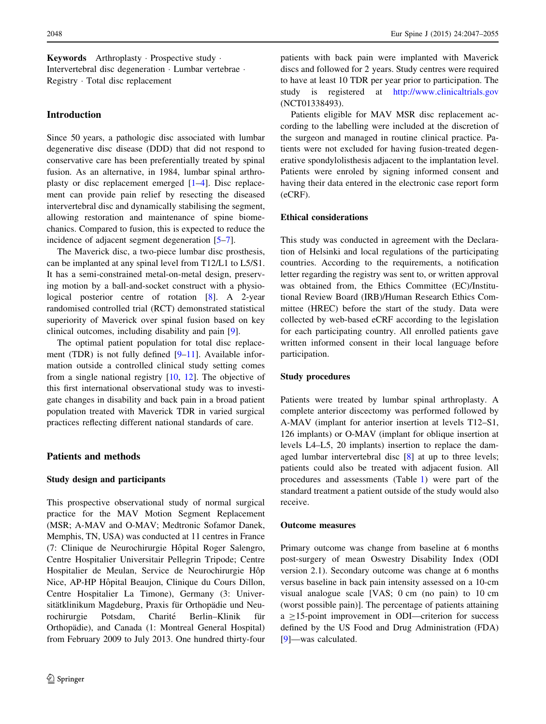Keywords Arthroplasty · Prospective study · Intervertebral disc degeneration - Lumbar vertebrae - Registry - Total disc replacement

# Introduction

Since 50 years, a pathologic disc associated with lumbar degenerative disc disease (DDD) that did not respond to conservative care has been preferentially treated by spinal fusion. As an alternative, in 1984, lumbar spinal arthroplasty or disc replacement emerged [[1–4\]](#page-7-0). Disc replacement can provide pain relief by resecting the diseased intervertebral disc and dynamically stabilising the segment, allowing restoration and maintenance of spine biomechanics. Compared to fusion, this is expected to reduce the incidence of adjacent segment degeneration [\[5–7](#page-7-0)].

The Maverick disc, a two-piece lumbar disc prosthesis, can be implanted at any spinal level from T12/L1 to L5/S1. It has a semi-constrained metal-on-metal design, preserving motion by a ball-and-socket construct with a physiological posterior centre of rotation [\[8](#page-7-0)]. A 2-year randomised controlled trial (RCT) demonstrated statistical superiority of Maverick over spinal fusion based on key clinical outcomes, including disability and pain [[9\]](#page-7-0).

The optimal patient population for total disc replace-ment (TDR) is not fully defined [\[9](#page-7-0)[–11](#page-8-0)]. Available information outside a controlled clinical study setting comes from a single national registry [[10,](#page-8-0) [12\]](#page-8-0). The objective of this first international observational study was to investigate changes in disability and back pain in a broad patient population treated with Maverick TDR in varied surgical practices reflecting different national standards of care.

# Patients and methods

## Study design and participants

This prospective observational study of normal surgical practice for the MAV Motion Segment Replacement (MSR; A-MAV and O-MAV; Medtronic Sofamor Danek, Memphis, TN, USA) was conducted at 11 centres in France (7: Clinique de Neurochirurgie Hôpital Roger Salengro, Centre Hospitalier Universitair Pellegrin Tripode; Centre Hospitalier de Meulan, Service de Neurochirurgie Hôp Nice, AP-HP Hôpital Beaujon, Clinique du Cours Dillon, Centre Hospitalier La Timone), Germany (3: Universitätklinikum Magdeburg, Praxis für Orthopädie und Neurochirurgie Potsdam, Charité Berlin–Klinik für Orthopädie), and Canada (1: Montreal General Hospital) from February 2009 to July 2013. One hundred thirty-four patients with back pain were implanted with Maverick discs and followed for 2 years. Study centres were required to have at least 10 TDR per year prior to participation. The study is registered at <http://www.clinicaltrials.gov> (NCT01338493).

Patients eligible for MAV MSR disc replacement according to the labelling were included at the discretion of the surgeon and managed in routine clinical practice. Patients were not excluded for having fusion-treated degenerative spondylolisthesis adjacent to the implantation level. Patients were enroled by signing informed consent and having their data entered in the electronic case report form (eCRF).

# Ethical considerations

This study was conducted in agreement with the Declaration of Helsinki and local regulations of the participating countries. According to the requirements, a notification letter regarding the registry was sent to, or written approval was obtained from, the Ethics Committee (EC)/Institutional Review Board (IRB)/Human Research Ethics Committee (HREC) before the start of the study. Data were collected by web-based eCRF according to the legislation for each participating country. All enrolled patients gave written informed consent in their local language before participation.

#### Study procedures

Patients were treated by lumbar spinal arthroplasty. A complete anterior discectomy was performed followed by A-MAV (implant for anterior insertion at levels T12–S1, 126 implants) or O-MAV (implant for oblique insertion at levels L4–L5, 20 implants) insertion to replace the damaged lumbar intervertebral disc [[8\]](#page-7-0) at up to three levels; patients could also be treated with adjacent fusion. All procedures and assessments (Table [1\)](#page-2-0) were part of the standard treatment a patient outside of the study would also receive.

## Outcome measures

Primary outcome was change from baseline at 6 months post-surgery of mean Oswestry Disability Index (ODI version 2.1). Secondary outcome was change at 6 months versus baseline in back pain intensity assessed on a 10-cm visual analogue scale [VAS; 0 cm (no pain) to 10 cm (worst possible pain)]. The percentage of patients attaining  $a \ge 15$ -point improvement in ODI—criterion for success defined by the US Food and Drug Administration (FDA) [\[9](#page-7-0)]—was calculated.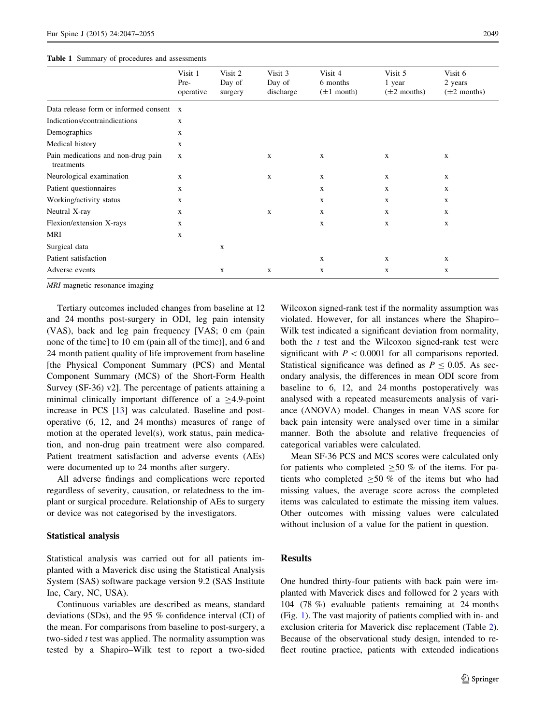<span id="page-2-0"></span>

|  |  |  |  |  | <b>Table 1</b> Summary of procedures and assessments |
|--|--|--|--|--|------------------------------------------------------|
|--|--|--|--|--|------------------------------------------------------|

|                                                  | Visit 1<br>Pre-<br>operative | Visit 2<br>Day of<br>surgery | Visit 3<br>Day of<br>discharge | Visit 4<br>6 months<br>$(\pm 1 \text{ month})$ | Visit 5<br>1 year<br>$(\pm 2$ months) | Visit 6<br>2 years<br>$(\pm 2$ months) |
|--------------------------------------------------|------------------------------|------------------------------|--------------------------------|------------------------------------------------|---------------------------------------|----------------------------------------|
| Data release form or informed consent x          |                              |                              |                                |                                                |                                       |                                        |
| Indications/contraindications                    | $\mathbf{x}$                 |                              |                                |                                                |                                       |                                        |
| Demographics                                     | $\mathbf x$                  |                              |                                |                                                |                                       |                                        |
| Medical history                                  | $\mathbf x$                  |                              |                                |                                                |                                       |                                        |
| Pain medications and non-drug pain<br>treatments | $\mathbf x$                  |                              | $\mathbf{x}$                   | $\mathbf{x}$                                   | X                                     | $\mathbf X$                            |
| Neurological examination                         | $\mathbf x$                  |                              | $\mathbf x$                    | $\mathbf x$                                    | X                                     | $\mathbf X$                            |
| Patient questionnaires                           | X                            |                              |                                | X                                              | X                                     | $\mathbf X$                            |
| Working/activity status                          | X                            |                              |                                | $\mathbf x$                                    | X                                     | $\mathbf X$                            |
| Neutral X-ray                                    | X                            |                              | $\mathbf{x}$                   | $\mathbf x$                                    | X                                     | X                                      |
| Flexion/extension X-rays                         | X                            |                              |                                | X                                              | X                                     | $\mathbf X$                            |
| MRI                                              | $\mathbf x$                  |                              |                                |                                                |                                       |                                        |
| Surgical data                                    |                              | $\mathbf X$                  |                                |                                                |                                       |                                        |
| Patient satisfaction                             |                              |                              |                                | X                                              | X                                     | $\mathbf X$                            |
| Adverse events                                   |                              | $\mathbf x$                  | $\mathbf x$                    | $\mathbf X$                                    | X                                     | $\mathbf X$                            |

MRI magnetic resonance imaging

Tertiary outcomes included changes from baseline at 12 and 24 months post-surgery in ODI, leg pain intensity (VAS), back and leg pain frequency [VAS; 0 cm (pain none of the time] to 10 cm (pain all of the time)], and 6 and 24 month patient quality of life improvement from baseline [the Physical Component Summary (PCS) and Mental Component Summary (MCS) of the Short-Form Health Survey (SF-36) v2]. The percentage of patients attaining a minimal clinically important difference of a  $\geq$ 4.9-point increase in PCS [[13\]](#page-8-0) was calculated. Baseline and postoperative (6, 12, and 24 months) measures of range of motion at the operated level(s), work status, pain medication, and non-drug pain treatment were also compared. Patient treatment satisfaction and adverse events (AEs) were documented up to 24 months after surgery.

All adverse findings and complications were reported regardless of severity, causation, or relatedness to the implant or surgical procedure. Relationship of AEs to surgery or device was not categorised by the investigators.

## Statistical analysis

Statistical analysis was carried out for all patients implanted with a Maverick disc using the Statistical Analysis System (SAS) software package version 9.2 (SAS Institute Inc, Cary, NC, USA).

Continuous variables are described as means, standard deviations (SDs), and the 95 % confidence interval (CI) of the mean. For comparisons from baseline to post-surgery, a two-sided  $t$  test was applied. The normality assumption was tested by a Shapiro–Wilk test to report a two-sided

Wilcoxon signed-rank test if the normality assumption was violated. However, for all instances where the Shapiro– Wilk test indicated a significant deviation from normality, both the  $t$  test and the Wilcoxon signed-rank test were significant with  $P < 0.0001$  for all comparisons reported. Statistical significance was defined as  $P \le 0.05$ . As secondary analysis, the differences in mean ODI score from baseline to 6, 12, and 24 months postoperatively was analysed with a repeated measurements analysis of variance (ANOVA) model. Changes in mean VAS score for back pain intensity were analysed over time in a similar manner. Both the absolute and relative frequencies of categorical variables were calculated.

Mean SF-36 PCS and MCS scores were calculated only for patients who completed  $\geq 50$  % of the items. For patients who completed  $\geq 50$  % of the items but who had missing values, the average score across the completed items was calculated to estimate the missing item values. Other outcomes with missing values were calculated without inclusion of a value for the patient in question.

## Results

One hundred thirty-four patients with back pain were implanted with Maverick discs and followed for 2 years with 104 (78 %) evaluable patients remaining at 24 months (Fig. [1\)](#page-3-0). The vast majority of patients complied with in- and exclusion criteria for Maverick disc replacement (Table [2\)](#page-3-0). Because of the observational study design, intended to reflect routine practice, patients with extended indications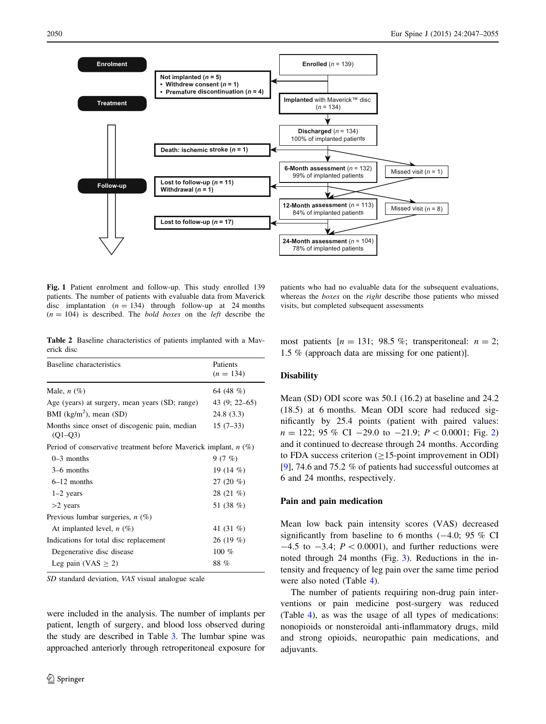<span id="page-3-0"></span>

Fig. 1 Patient enrolment and follow-up. This study enrolled 139 patients. The number of patients with evaluable data from Maverick disc implantation  $(n = 134)$  through follow-up at 24 months  $(n = 104)$  is described. The *bold boxes* on the *left* describe the

Table 2 Baseline characteristics of patients implanted with a Maverick disc

| Baseline characteristics                                          | Patients<br>$(n = 134)$ |  |  |  |
|-------------------------------------------------------------------|-------------------------|--|--|--|
| Male, $n(\%)$                                                     | 64 (48 %)               |  |  |  |
| Age (years) at surgery, mean years (SD; range)                    | 43 (9; 22–65)           |  |  |  |
| BMI ( $\text{kg/m}^2$ ), mean (SD)                                | 24.8 (3.3)              |  |  |  |
| Months since onset of discogenic pain, median<br>$(O1 - O3)$      | $15(7-33)$              |  |  |  |
| Period of conservative treatment before Maverick implant, $n$ (%) |                         |  |  |  |
| $0-3$ months                                                      | 9(7%)                   |  |  |  |
| 3–6 months                                                        | 19 (14 %)               |  |  |  |
| $6-12$ months                                                     | 27 $(20 \%)$            |  |  |  |
| $1-2$ years                                                       | 28 (21 %)               |  |  |  |
| $>2$ years                                                        | 51 (38 %)               |  |  |  |
| Previous lumbar surgeries, $n$ (%)                                |                         |  |  |  |
| At implanted level, $n$ (%)                                       | 41 (31 %)               |  |  |  |
| Indications for total disc replacement                            | 26(19%)                 |  |  |  |
| Degenerative disc disease                                         | $100\%$                 |  |  |  |
| Leg pain (VAS $\geq$ 2)                                           | 88 %                    |  |  |  |

SD standard deviation, VAS visual analogue scale

were included in the analysis. The number of implants per patient, length of surgery, and blood loss observed during the study are described in Table [3.](#page-4-0) The lumbar spine was approached anteriorly through retroperitoneal exposure for

patients who had no evaluable data for the subsequent evaluations, whereas the *boxes* on the *right* describe those patients who missed visits, but completed subsequent assessments

most patients  $[n = 131; 98.5\%;$  transperitoneal:  $n = 2;$ 1.5 % (approach data are missing for one patient)].

#### **Disability**

Mean (SD) ODI score was 50.1 (16.2) at baseline and 24.2 (18.5) at 6 months. Mean ODI score had reduced significantly by 25.4 points (patient with paired values:  $n = 122$ ; 95 % CI -29.0 to -21.9;  $P < 0.0001$ ; Fig. [2\)](#page-4-0) and it continued to decrease through 24 months. According to FDA success criterion  $(>15$ -point improvement in ODI) [\[9](#page-7-0)], 74.6 and 75.2 % of patients had successful outcomes at 6 and 24 months, respectively.

#### Pain and pain medication

Mean low back pain intensity scores (VAS) decreased significantly from baseline to 6 months  $(-4.0; 95\%$  CI  $-4.5$  to  $-3.4$ ;  $P \lt 0.0001$ ), and further reductions were noted through 24 months (Fig. [3\)](#page-4-0). Reductions in the intensity and frequency of leg pain over the same time period were also noted (Table [4](#page-5-0)).

The number of patients requiring non-drug pain interventions or pain medicine post-surgery was reduced (Table [4\)](#page-5-0), as was the usage of all types of medications: nonopioids or nonsteroidal anti-inflammatory drugs, mild and strong opioids, neuropathic pain medications, and adjuvants.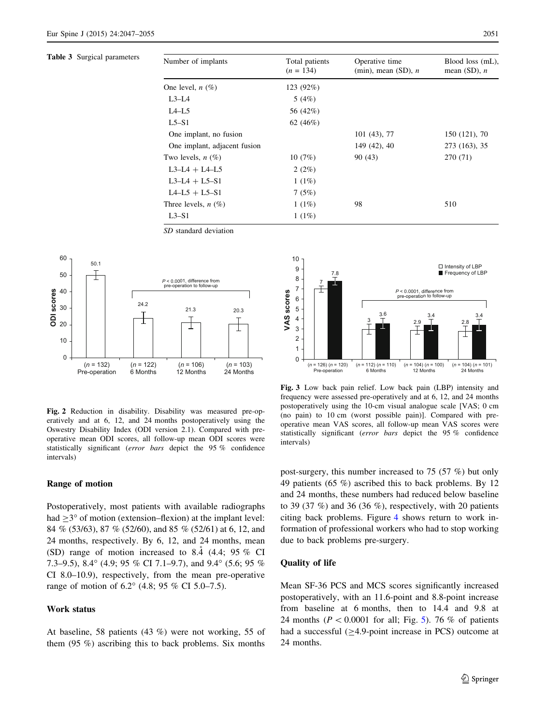<span id="page-4-0"></span>Table 3 Surgical parameters

| Number of implants           | Total patients<br>$(n = 134)$ | Operative time<br>(min), mean (SD), $n$ | Blood loss (mL),<br>mean $(SD)$ , <i>n</i> |
|------------------------------|-------------------------------|-----------------------------------------|--------------------------------------------|
| One level, $n(\%)$           | 123 (92%)                     |                                         |                                            |
| $L3-L4$                      | 5(4%)                         |                                         |                                            |
| $L4-L5$                      | 56 (42%)                      |                                         |                                            |
| $L5-S1$                      | 62 $(46%)$                    |                                         |                                            |
| One implant, no fusion       |                               | 101 (43), 77                            | 150 (121), 70                              |
| One implant, adjacent fusion |                               | 149 (42), 40                            | 273 (163), 35                              |
| Two levels, $n(\%)$          | 10(7%)                        | 90 (43)                                 | 270 (71)                                   |
| $L3-L4 + L4-L5$              | 2(2%)                         |                                         |                                            |
| $L3-L4 + L5-S1$              | 1(1%)                         |                                         |                                            |
| $L4-L5 + L5-S1$              | 7(5%)                         |                                         |                                            |
| Three levels, $n(\%)$        | 1(1%)                         | 98                                      | 510                                        |
| $L3-S1$                      | 1(1%)                         |                                         |                                            |





Fig. 2 Reduction in disability. Disability was measured pre-operatively and at 6, 12, and 24 months postoperatively using the Oswestry Disability Index (ODI version 2.1). Compared with preoperative mean ODI scores, all follow-up mean ODI scores were statistically significant (error bars depict the 95 % confidence intervals)

#### Range of motion

Postoperatively, most patients with available radiographs had  $\geq$ 3° of motion (extension–flexion) at the implant level: 84 % (53/63), 87 % (52/60), and 85 % (52/61) at 6, 12, and 24 months, respectively. By 6, 12, and 24 months, mean (SD) range of motion increased to 8.4  $(4.4; 95\% \text{ CI})$ 7.3–9.5), 8.4 $^{\circ}$  (4.9; 95 % CI 7.1–9.7), and 9.4 $^{\circ}$  (5.6; 95 % CI 8.0–10.9), respectively, from the mean pre-operative range of motion of  $6.2^{\circ}$  (4.8; 95 % CI 5.0–7.5).

#### Work status

At baseline, 58 patients (43 %) were not working, 55 of them (95 %) ascribing this to back problems. Six months



Fig. 3 Low back pain relief. Low back pain (LBP) intensity and frequency were assessed pre-operatively and at 6, 12, and 24 months postoperatively using the 10-cm visual analogue scale [VAS; 0 cm (no pain) to 10 cm (worst possible pain)]. Compared with preoperative mean VAS scores, all follow-up mean VAS scores were statistically significant (error bars depict the 95 % confidence intervals)

post-surgery, this number increased to 75 (57 %) but only 49 patients (65 %) ascribed this to back problems. By 12 and 24 months, these numbers had reduced below baseline to 39 (37  $\%$ ) and 36 (36  $\%$ ), respectively, with 20 patients citing back problems. Figure [4](#page-5-0) shows return to work information of professional workers who had to stop working due to back problems pre-surgery.

## Quality of life

Mean SF-36 PCS and MCS scores significantly increased postoperatively, with an 11.6-point and 8.8-point increase from baseline at 6 months, then to 14.4 and 9.8 at 24 months ( $P < 0.0001$  for all; Fig. [5\)](#page-5-0). 76 % of patients had a successful  $(\geq 4.9\text{-point}$  increase in PCS) outcome at 24 months.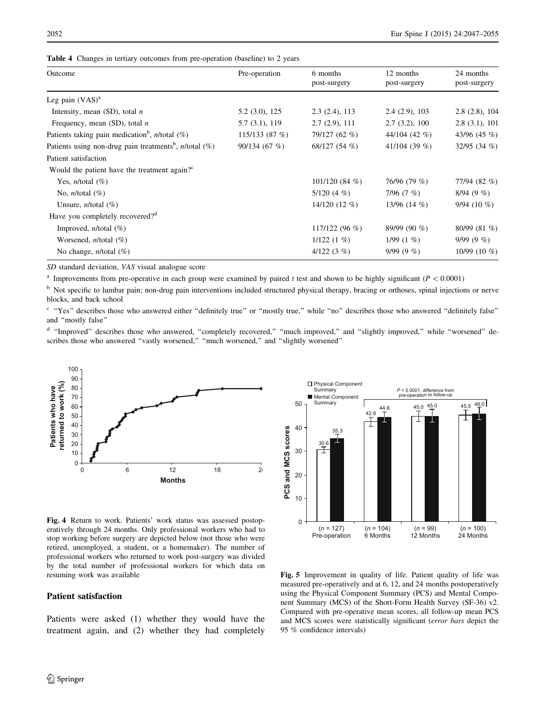| Outcome                                                                       | Pre-operation         | 6 months<br>post-surgery | 12 months<br>post-surgery | 24 months<br>post-surgery |
|-------------------------------------------------------------------------------|-----------------------|--------------------------|---------------------------|---------------------------|
| Leg pain $(VAS)^a$                                                            |                       |                          |                           |                           |
| Intensity, mean $(SD)$ , total <i>n</i>                                       | $5.2$ $(3.0)$ , $125$ | 2.3(2.4), 113            | 2.4(2.9), 103             | 2.8(2.8), 104             |
| Frequency, mean $(SD)$ , total <i>n</i>                                       | 5.7(3.1), 119         | 2.7(2.9), 111            | 2.7(3.2), 100             | 2.8(3.1), 101             |
| Patients taking pain medication <sup>b</sup> , <i>n</i> /total $(\%)$         | 115/133(87%)          | 79/127 (62 %)            | 44/104 (42 $%$ )          | 43/96 (45 %)              |
| Patients using non-drug pain treatments <sup>b</sup> , <i>n</i> /total $(\%)$ | 90/134(67%)           | 68/127(54%)              | 41/104 (39 $%$ )          | $32/95(34\%)$             |
| Patient satisfaction                                                          |                       |                          |                           |                           |
| Would the patient have the treatment again? <sup>c</sup>                      |                       |                          |                           |                           |
| Yes, <i>n</i> /total $(\%)$                                                   |                       | 101/120(84%)             | 76/96 (79 %)              | 77/94 (82 %)              |
| No, <i>n</i> /total $(\%)$                                                    |                       | $5/120(4\%)$             | 7/96 $(7 \%)$             | 8/94(9%)                  |
| Unsure, $n$ /total $(\%)$                                                     |                       | $14/120(12\%)$           | 13/96 $(14 \%)$           | $9/94(10\%)$              |
| Have you completely recovered? <sup>d</sup>                                   |                       |                          |                           |                           |
| Improved, $n$ /total $(\%)$                                                   |                       | $117/122(96\%)$          | 89/99 (90 %)              | 80/99 (81 %)              |
| Worsened, $n$ /total $(\%)$                                                   |                       | $1/122(1\%)$             | $1/99(1\%)$               | $9/99(9\%)$               |
| No change, $n$ /total $(\%)$                                                  |                       | $4/122(3\%)$             | $9/99(9\%)$               | 10/99 (10 $%$ )           |
|                                                                               |                       |                          |                           |                           |

<span id="page-5-0"></span>Table 4 Changes in tertiary outcomes from pre-operation (baseline) to 2 years

SD standard deviation, VAS visual analogue score

<sup>a</sup> Improvements from pre-operative in each group were examined by paired t test and shown to be highly significant ( $P < 0.0001$ )

<sup>b</sup> Not specific to lumbar pain; non-drug pain interventions included structured physical therapy, bracing or orthoses, spinal injections or nerve blocks, and back school

c "Yes" describes those who answered either "definitely true" or "mostly true," while "no" describes those who answered "definitely false" and ''mostly false''

<sup>d</sup> "Improved" describes those who answered, "completely recovered," "much improved," and "slightly improved," while "worsened" describes those who answered "vastly worsened," "much worsened," and "slightly worsened"





Fig. 4 Return to work. Patients' work status was assessed postoperatively through 24 months. Only professional workers who had to stop working before surgery are depicted below (not those who were retired, unemployed, a student, or a homemaker). The number of professional workers who returned to work post-surgery was divided by the total number of professional workers for which data on resuming work was available

#### Patient satisfaction

Patients were asked (1) whether they would have the treatment again, and (2) whether they had completely

Fig. 5 Improvement in quality of life. Patient quality of life was measured pre-operatively and at 6, 12, and 24 months postoperatively using the Physical Component Summary (PCS) and Mental Component Summary (MCS) of the Short-Form Health Survey (SF-36) v2. Compared with pre-operative mean scores, all follow-up mean PCS and MCS scores were statistically significant (error bars depict the 95 % confidence intervals)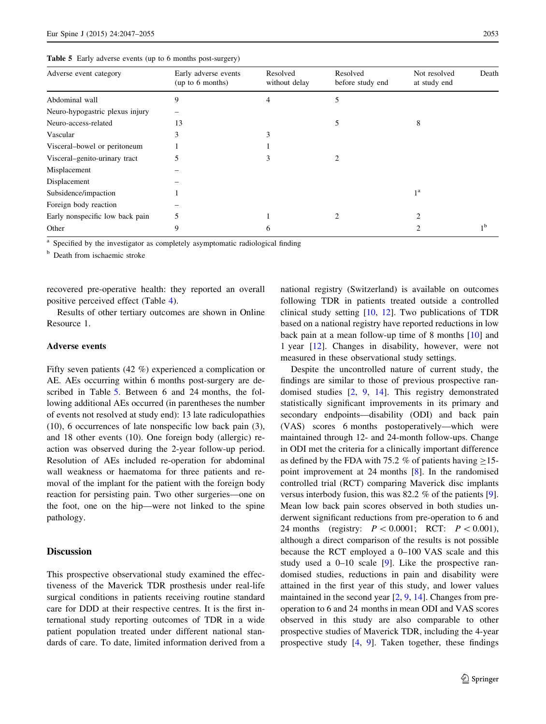| Adverse event category          | Early adverse events<br>(up to 6 months) | Resolved<br>without delay | Resolved<br>before study end | Not resolved<br>at study end | Death          |
|---------------------------------|------------------------------------------|---------------------------|------------------------------|------------------------------|----------------|
| Abdominal wall                  | 9                                        | 4                         | 5                            |                              |                |
| Neuro-hypogastric plexus injury |                                          |                           |                              |                              |                |
| Neuro-access-related            | 13                                       |                           | 5                            | 8                            |                |
| Vascular                        | 3                                        | 3                         |                              |                              |                |
| Visceral-bowel or peritoneum    |                                          |                           |                              |                              |                |
| Visceral–genito-urinary tract   |                                          | 3                         |                              |                              |                |
| Misplacement                    |                                          |                           |                              |                              |                |
| Displacement                    |                                          |                           |                              |                              |                |
| Subsidence/impaction            |                                          |                           |                              | 1 <sup>a</sup>               |                |
| Foreign body reaction           |                                          |                           |                              |                              |                |
| Early nonspecific low back pain | 5                                        |                           |                              |                              |                |
| Other                           | 9                                        | 6                         |                              | ↑                            | 1 <sup>b</sup> |
|                                 |                                          |                           |                              |                              |                |

<sup>a</sup> Specified by the investigator as completely asymptomatic radiological finding

<sup>b</sup> Death from ischaemic stroke

recovered pre-operative health: they reported an overall positive perceived effect (Table [4](#page-5-0)).

Results of other tertiary outcomes are shown in Online Resource 1.

## Adverse events

Fifty seven patients (42 %) experienced a complication or AE. AEs occurring within 6 months post-surgery are described in Table 5. Between 6 and 24 months, the following additional AEs occurred (in parentheses the number of events not resolved at study end): 13 late radiculopathies (10), 6 occurrences of late nonspecific low back pain (3), and 18 other events (10). One foreign body (allergic) reaction was observed during the 2-year follow-up period. Resolution of AEs included re-operation for abdominal wall weakness or haematoma for three patients and removal of the implant for the patient with the foreign body reaction for persisting pain. Two other surgeries—one on the foot, one on the hip—were not linked to the spine pathology.

#### **Discussion**

This prospective observational study examined the effectiveness of the Maverick TDR prosthesis under real-life surgical conditions in patients receiving routine standard care for DDD at their respective centres. It is the first international study reporting outcomes of TDR in a wide patient population treated under different national standards of care. To date, limited information derived from a national registry (Switzerland) is available on outcomes following TDR in patients treated outside a controlled clinical study setting [[10,](#page-8-0) [12](#page-8-0)]. Two publications of TDR based on a national registry have reported reductions in low back pain at a mean follow-up time of 8 months [\[10](#page-8-0)] and 1 year [\[12](#page-8-0)]. Changes in disability, however, were not measured in these observational study settings.

Despite the uncontrolled nature of current study, the findings are similar to those of previous prospective randomised studies [[2,](#page-7-0) [9,](#page-7-0) [14\]](#page-8-0). This registry demonstrated statistically significant improvements in its primary and secondary endpoints—disability (ODI) and back pain (VAS) scores 6 months postoperatively—which were maintained through 12- and 24-month follow-ups. Change in ODI met the criteria for a clinically important difference as defined by the FDA with 75.2 % of patients having  $>15$ point improvement at 24 months [\[8](#page-7-0)]. In the randomised controlled trial (RCT) comparing Maverick disc implants versus interbody fusion, this was 82.2 % of the patients [\[9](#page-7-0)]. Mean low back pain scores observed in both studies underwent significant reductions from pre-operation to 6 and 24 months (registry:  $P \lt 0.0001$ ; RCT:  $P \lt 0.001$ ), although a direct comparison of the results is not possible because the RCT employed a 0–100 VAS scale and this study used a 0–10 scale [[9\]](#page-7-0). Like the prospective randomised studies, reductions in pain and disability were attained in the first year of this study, and lower values maintained in the second year [\[2](#page-7-0), [9](#page-7-0), [14](#page-8-0)]. Changes from preoperation to 6 and 24 months in mean ODI and VAS scores observed in this study are also comparable to other prospective studies of Maverick TDR, including the 4-year prospective study [\[4](#page-7-0), [9\]](#page-7-0). Taken together, these findings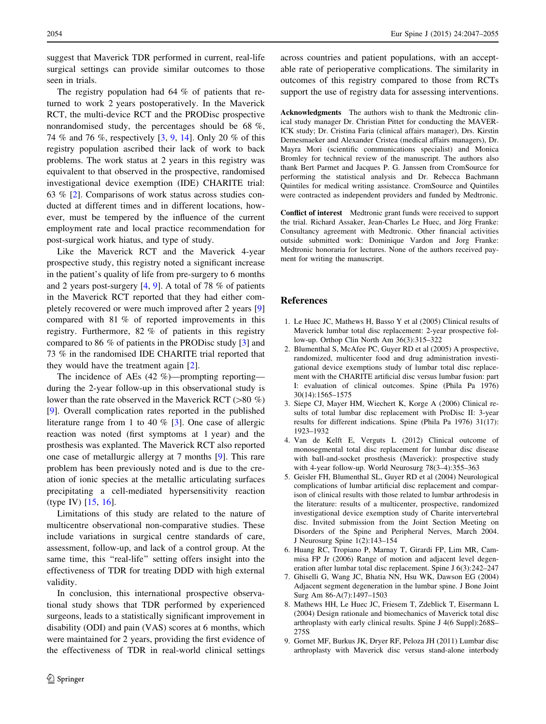<span id="page-7-0"></span>suggest that Maverick TDR performed in current, real-life surgical settings can provide similar outcomes to those seen in trials.

The registry population had 64 % of patients that returned to work 2 years postoperatively. In the Maverick RCT, the multi-device RCT and the PRODisc prospective nonrandomised study, the percentages should be 68 %, 74 % and 76 %, respectively [3, 9, [14\]](#page-8-0). Only 20 % of this registry population ascribed their lack of work to back problems. The work status at 2 years in this registry was equivalent to that observed in the prospective, randomised investigational device exemption (IDE) CHARITE trial: 63 % [2]. Comparisons of work status across studies conducted at different times and in different locations, however, must be tempered by the influence of the current employment rate and local practice recommendation for post-surgical work hiatus, and type of study.

Like the Maverick RCT and the Maverick 4-year prospective study, this registry noted a significant increase in the patient's quality of life from pre-surgery to 6 months and 2 years post-surgery [4, 9]. A total of 78 % of patients in the Maverick RCT reported that they had either completely recovered or were much improved after 2 years [9] compared with 81 % of reported improvements in this registry. Furthermore, 82 % of patients in this registry compared to 86 % of patients in the PRODisc study [3] and 73 % in the randomised IDE CHARITE trial reported that they would have the treatment again [2].

The incidence of AEs (42 %)—prompting reporting during the 2-year follow-up in this observational study is lower than the rate observed in the Maverick RCT ( $>80 \%$ ) [9]. Overall complication rates reported in the published literature range from 1 to 40 % [3]. One case of allergic reaction was noted (first symptoms at 1 year) and the prosthesis was explanted. The Maverick RCT also reported one case of metallurgic allergy at 7 months [9]. This rare problem has been previously noted and is due to the creation of ionic species at the metallic articulating surfaces precipitating a cell-mediated hypersensitivity reaction (type IV) [\[15](#page-8-0), [16](#page-8-0)].

Limitations of this study are related to the nature of multicentre observational non-comparative studies. These include variations in surgical centre standards of care, assessment, follow-up, and lack of a control group. At the same time, this "real-life" setting offers insight into the effectiveness of TDR for treating DDD with high external validity.

In conclusion, this international prospective observational study shows that TDR performed by experienced surgeons, leads to a statistically significant improvement in disability (ODI) and pain (VAS) scores at 6 months, which were maintained for 2 years, providing the first evidence of the effectiveness of TDR in real-world clinical settings across countries and patient populations, with an acceptable rate of perioperative complications. The similarity in outcomes of this registry compared to those from RCTs support the use of registry data for assessing interventions.

Acknowledgments The authors wish to thank the Medtronic clinical study manager Dr. Christian Pittet for conducting the MAVER-ICK study; Dr. Cristina Faria (clinical affairs manager), Drs. Kirstin Demesmaeker and Alexander Cristea (medical affairs managers), Dr. Mayra Mori (scientific communications specialist) and Monica Bromley for technical review of the manuscript. The authors also thank Bert Parmet and Jacques P. G. Janssen from CromSource for performing the statistical analysis and Dr. Rebecca Bachmann Quintiles for medical writing assistance. CromSource and Quintiles were contracted as independent providers and funded by Medtronic.

Conflict of interest Medtronic grant funds were received to support the trial. Richard Assaker, Jean-Charles Le Huec, and Jörg Franke: Consultancy agreement with Medtronic. Other financial activities outside submitted work: Dominique Vardon and Jorg Franke: Medtronic honoraria for lectures. None of the authors received payment for writing the manuscript.

## References

- 1. Le Huec JC, Mathews H, Basso Y et al (2005) Clinical results of Maverick lumbar total disc replacement: 2-year prospective follow-up. Orthop Clin North Am 36(3):315–322
- 2. Blumenthal S, McAfee PC, Guyer RD et al (2005) A prospective, randomized, multicenter food and drug administration investigational device exemptions study of lumbar total disc replacement with the CHARITE artificial disc versus lumbar fusion: part I: evaluation of clinical outcomes. Spine (Phila Pa 1976) 30(14):1565–1575
- 3. Siepe CJ, Mayer HM, Wiechert K, Korge A (2006) Clinical results of total lumbar disc replacement with ProDisc II: 3-year results for different indications. Spine (Phila Pa 1976) 31(17): 1923–1932
- 4. Van de Kelft E, Verguts L (2012) Clinical outcome of monosegmental total disc replacement for lumbar disc disease with ball-and-socket prosthesis (Maverick): prospective study with 4-year follow-up. World Neurosurg 78(3–4):355–363
- 5. Geisler FH, Blumenthal SL, Guyer RD et al (2004) Neurological complications of lumbar artificial disc replacement and comparison of clinical results with those related to lumbar arthrodesis in the literature: results of a multicenter, prospective, randomized investigational device exemption study of Charite intervertebral disc. Invited submission from the Joint Section Meeting on Disorders of the Spine and Peripheral Nerves, March 2004. J Neurosurg Spine 1(2):143–154
- 6. Huang RC, Tropiano P, Marnay T, Girardi FP, Lim MR, Cammisa FP Jr (2006) Range of motion and adjacent level degeneration after lumbar total disc replacement. Spine J 6(3):242–247
- 7. Ghiselli G, Wang JC, Bhatia NN, Hsu WK, Dawson EG (2004) Adjacent segment degeneration in the lumbar spine. J Bone Joint Surg Am 86-A(7):1497–1503
- 8. Mathews HH, Le Huec JC, Friesem T, Zdeblick T, Eisermann L (2004) Design rationale and biomechanics of Maverick total disc arthroplasty with early clinical results. Spine J 4(6 Suppl):268S– 275S
- 9. Gornet MF, Burkus JK, Dryer RF, Peloza JH (2011) Lumbar disc arthroplasty with Maverick disc versus stand-alone interbody